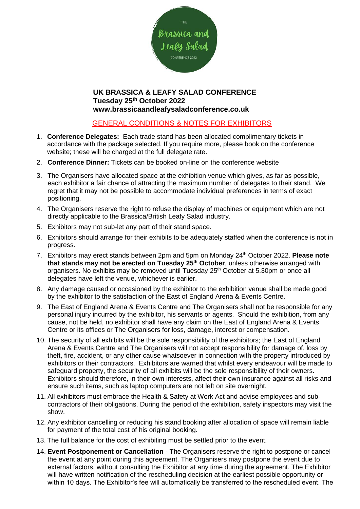

## **UK BRASSICA & LEAFY SALAD CONFERENCE Tuesday 25th October 2022 www.brassicaandleafysaladconference.co.uk**

## GENERAL CONDITIONS & NOTES FOR EXHIBITORS

- 1. **Conference Delegates:** Each trade stand has been allocated complimentary tickets in accordance with the package selected. If you require more, please book on the conference website; these will be charged at the full delegate rate.
- 2. **Conference Dinner:** Tickets can be booked on-line on the conference website
- 3. The Organisers have allocated space at the exhibition venue which gives, as far as possible, each exhibitor a fair chance of attracting the maximum number of delegates to their stand. We regret that it may not be possible to accommodate individual preferences in terms of exact positioning.
- 4. The Organisers reserve the right to refuse the display of machines or equipment which are not directly applicable to the Brassica/British Leafy Salad industry.
- 5. Exhibitors may not sub-let any part of their stand space.
- 6. Exhibitors should arrange for their exhibits to be adequately staffed when the conference is not in progress.
- 7. Exhibitors may erect stands between 2pm and 5pm on Monday 24th October 2022. **Please note that stands may not be erected on Tuesday 25th October**, unless otherwise arranged with organisers. No exhibits may be removed until Tuesday 25<sup>th</sup> October at 5.30pm or once all delegates have left the venue, whichever is earlier.
- 8. Any damage caused or occasioned by the exhibitor to the exhibition venue shall be made good by the exhibitor to the satisfaction of the East of England Arena & Events Centre.
- 9. The East of England Arena & Events Centre and The Organisers shall not be responsible for any personal injury incurred by the exhibitor, his servants or agents. Should the exhibition, from any cause, not be held, no exhibitor shall have any claim on the East of England Arena & Events Centre or its offices or The Organisers for loss, damage, interest or compensation.
- 10. The security of all exhibits will be the sole responsibility of the exhibitors; the East of England Arena & Events Centre and The Organisers will not accept responsibility for damage of, loss by theft, fire, accident, or any other cause whatsoever in connection with the property introduced by exhibitors or their contractors. Exhibitors are warned that whilst every endeavour will be made to safeguard property, the security of all exhibits will be the sole responsibility of their owners. Exhibitors should therefore, in their own interests, affect their own insurance against all risks and ensure such items, such as laptop computers are not left on site overnight.
- 11. All exhibitors must embrace the Health & Safety at Work Act and advise employees and subcontractors of their obligations. During the period of the exhibition, safety inspectors may visit the show.
- 12. Any exhibitor cancelling or reducing his stand booking after allocation of space will remain liable for payment of the total cost of his original booking.
- 13. The full balance for the cost of exhibiting must be settled prior to the event.
- 14. **Event Postponement or Cancellation** The Organisers reserve the right to postpone or cancel the event at any point during this agreement. The Organisers may postpone the event due to external factors, without consulting the Exhibitor at any time during the agreement. The Exhibitor will have written notification of the rescheduling decision at the earliest possible opportunity or within 10 days. The Exhibitor's fee will automatically be transferred to the rescheduled event. The